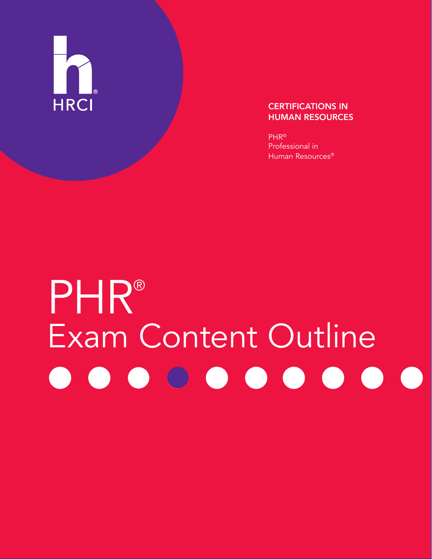

#### CERTIFICATIONS IN HUMAN RESOURCES

PHR® Professional in Human Resources®

# PHR® Exam Content Outline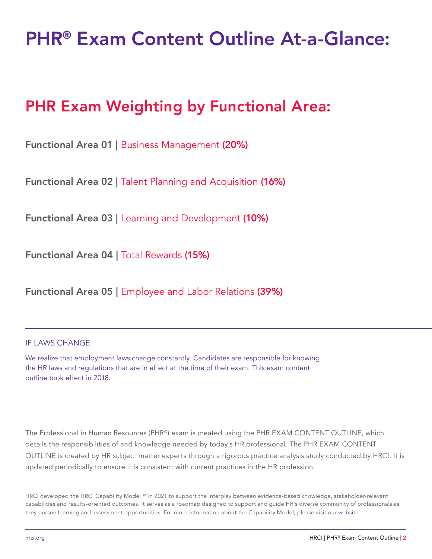# PHR® Exam Content Outline At-a-Glance:

# PHR Exam Weighting by Functional Area:

Functional Area 01 | Business Management (20%)

Functional Area 02 | Talent Planning and Acquisition (16%)

Functional Area 03 | Learning and Development (10%)

Functional Area 04 | Total Rewards (15%)

Functional Area 05 | Employee and Labor Relations (39%)

#### IF LAWS CHANGE

We realize that employment laws change constantly. Candidates are responsible for knowing the HR laws and regulations that are in effect at the time of their exam. This exam content outline took effect in 2018.

The Professional in Human Resources (PHR®) exam is created using the PHR EXAM CONTENT OUTLINE, which details the responsibilities of and knowledge needed by today's HR professional. The PHR EXAM CONTENT OUTLINE is created by HR subject matter experts through a rigorous practice analysis study conducted by HRCI. It is updated periodically to ensure it is consistent with current practices in the HR profession.

HRCI developed the HRCI Capability Model™ in 2021 to support the interplay between evidence-based knowledge, stakeholder-relevant capabilities and results-oriented outcomes. It serves as a roadmap designed to support and guide HR's diverse community of professionals as they pursue learning and assessment opportunities. For more information about the Capability Model, please visit our [website](https://www.hrci.org/hrci-capability-model/Action/Preview?sf-auth=xx4wEf3ApNRU2FCFtcbI3%2fUuDl92hbyKWGytH0zioE9l1sXAcDmGmxAo9SpzfZRv5v%2blA5%2bAYs9ucSs3T7vlKn72wCnD0oIDVet5Y%2b4o4GNpM7k6qGwSB4IX0G8hVVTAmlmKycTbDaeKxy5KdRJVo9s4SDAfDb%2b%2fpBPmH8Wh76LPGXCUvDJRRPN5bccafaJHOiGTyYyu%2bFhrJ7dLmWMeChD674pfTA%2fMF0hY4qWgvxUCcQhzsqgCn%2bFFnKMNGC61cWQ44ubjtAR5FDgi00Kmc0bKF3D7flNh%2bJhYPNZ%2bixcIh4N4RYWKaNoAAAA%3d).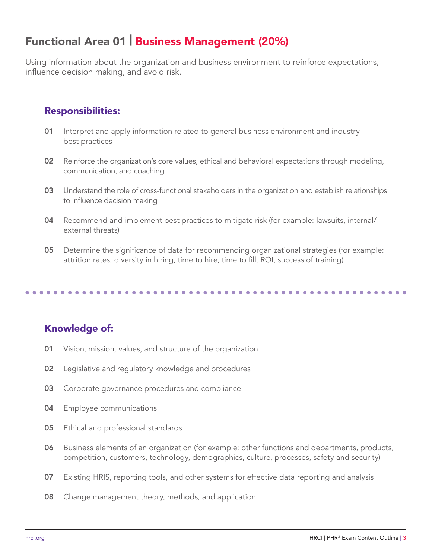### Functional Area 01 | Business Management (20%)

Using information about the organization and business environment to reinforce expectations, influence decision making, and avoid risk.

#### Responsibilities:

- 01 Interpret and apply information related to general business environment and industry best practices
- 02 Reinforce the organization's core values, ethical and behavioral expectations through modeling, communication, and coaching
- 03 Understand the role of cross-functional stakeholders in the organization and establish relationships to influence decision making
- 04 Recommend and implement best practices to mitigate risk (for example: lawsuits, internal/ external threats)
- 05 Determine the significance of data for recommending organizational strategies (for example: attrition rates, diversity in hiring, time to hire, time to fill, ROI, success of training)

- 01 Vision, mission, values, and structure of the organization
- 02 Legislative and regulatory knowledge and procedures
- **03** Corporate governance procedures and compliance
- **04** Employee communications
- **05** Ethical and professional standards
- 06 Business elements of an organization (for example: other functions and departments, products, competition, customers, technology, demographics, culture, processes, safety and security)
- 07 Existing HRIS, reporting tools, and other systems for effective data reporting and analysis
- **08** Change management theory, methods, and application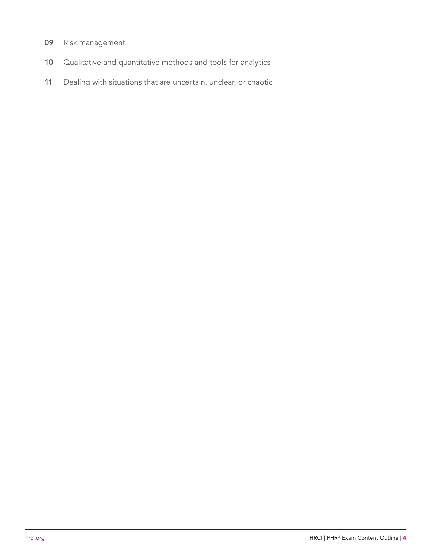- 09 Risk management
- 10 Qualitative and quantitative methods and tools for analytics
- 11 Dealing with situations that are uncertain, unclear, or chaotic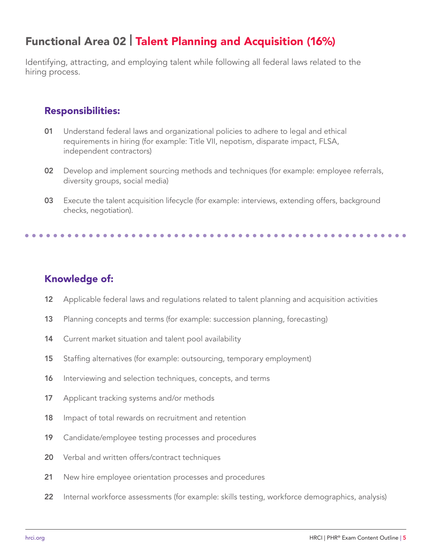# Functional Area 02 | Talent Planning and Acquisition (16%)

Identifying, attracting, and employing talent while following all federal laws related to the hiring process.

#### Responsibilities:

- 01 Understand federal laws and organizational policies to adhere to legal and ethical requirements in hiring (for example: Title VII, nepotism, disparate impact, FLSA, independent contractors)
- 02 Develop and implement sourcing methods and techniques (for example: employee referrals, diversity groups, social media)
- 03 Execute the talent acquisition lifecycle (for example: interviews, extending offers, background checks, negotiation).

- 12 Applicable federal laws and regulations related to talent planning and acquisition activities
- 13 Planning concepts and terms (for example: succession planning, forecasting)
- 14 Current market situation and talent pool availability
- 15 Staffing alternatives (for example: outsourcing, temporary employment)
- 16 Interviewing and selection techniques, concepts, and terms
- 17 Applicant tracking systems and/or methods
- 18 Impact of total rewards on recruitment and retention
- 19 Candidate/employee testing processes and procedures
- 20 Verbal and written offers/contract techniques
- 21 New hire employee orientation processes and procedures
- 22 Internal workforce assessments (for example: skills testing, workforce demographics, analysis)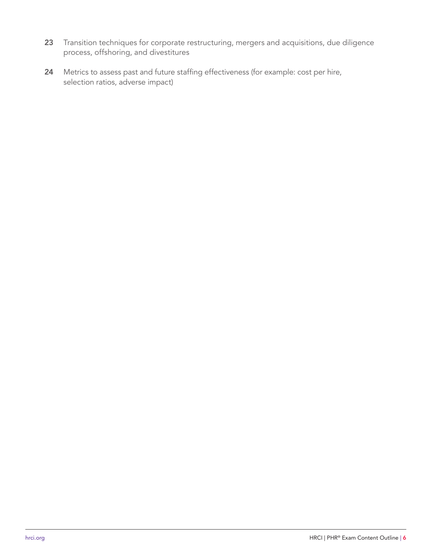- 23 Transition techniques for corporate restructuring, mergers and acquisitions, due diligence process, offshoring, and divestitures
- 24 Metrics to assess past and future staffing effectiveness (for example: cost per hire, selection ratios, adverse impact)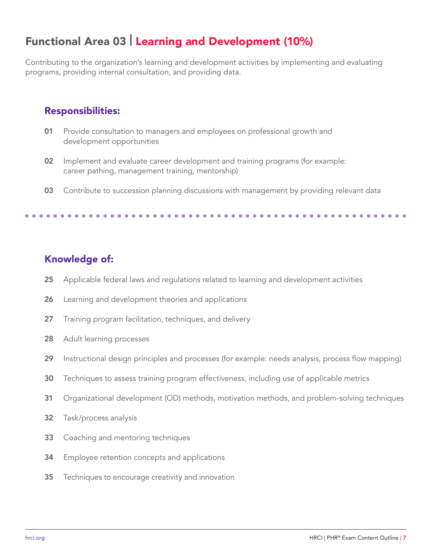# Functional Area 03 | Learning and Development (10%)

Contributing to the organization's learning and development activities by implementing and evaluating programs, providing internal consultation, and providing data.

#### Responsibilities:

- 01 Provide consultation to managers and employees on professional growth and development opportunities
- 02 Implement and evaluate career development and training programs (for example: career pathing, management training, mentorship)
- 03 Contribute to succession planning discussions with management by providing relevant data

- 25 Applicable federal laws and regulations related to learning and development activities
- 26 Learning and development theories and applications
- 27 Training program facilitation, techniques, and delivery
- 28 Adult learning processes
- 29 Instructional design principles and processes (for example: needs analysis, process flow mapping)
- 30 Techniques to assess training program effectiveness, including use of applicable metrics
- 31 Organizational development (OD) methods, motivation methods, and problem-solving techniques
- 32 Task/process analysis
- **33** Coaching and mentoring techniques
- 34 Employee retention concepts and applications
- **35** Techniques to encourage creativity and innovation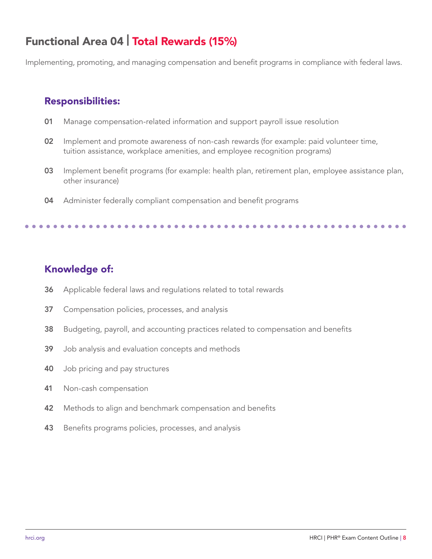# Functional Area 04 | Total Rewards (15%)

Implementing, promoting, and managing compensation and benefit programs in compliance with federal laws.

#### Responsibilities:

- 01 Manage compensation-related information and support payroll issue resolution
- 02 Implement and promote awareness of non-cash rewards (for example: paid volunteer time, tuition assistance, workplace amenities, and employee recognition programs)
- 03 Implement benefit programs (for example: health plan, retirement plan, employee assistance plan, other insurance)
- 04 Administer federally compliant compensation and benefit programs

- 36 Applicable federal laws and regulations related to total rewards
- 37 Compensation policies, processes, and analysis
- 38 Budgeting, payroll, and accounting practices related to compensation and benefits
- 39 Job analysis and evaluation concepts and methods
- 40 Job pricing and pay structures
- 41 Non-cash compensation
- 42 Methods to align and benchmark compensation and benefits
- 43 Benefits programs policies, processes, and analysis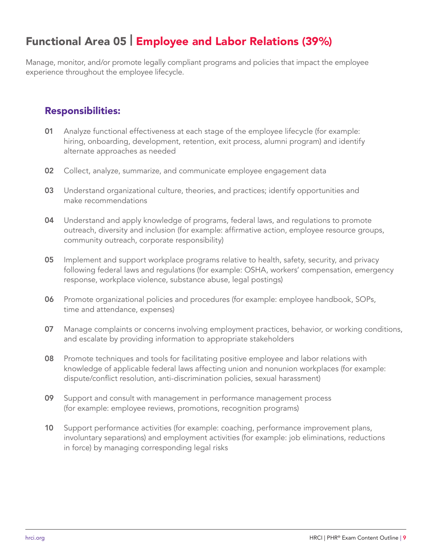### Functional Area 05 | Employee and Labor Relations (39%)

Manage, monitor, and/or promote legally compliant programs and policies that impact the employee experience throughout the employee lifecycle.

#### Responsibilities:

- 01 Analyze functional effectiveness at each stage of the employee lifecycle (for example: hiring, onboarding, development, retention, exit process, alumni program) and identify alternate approaches as needed
- 02 Collect, analyze, summarize, and communicate employee engagement data
- 03 Understand organizational culture, theories, and practices; identify opportunities and make recommendations
- 04 Understand and apply knowledge of programs, federal laws, and regulations to promote outreach, diversity and inclusion (for example: affirmative action, employee resource groups, community outreach, corporate responsibility)
- 05 Implement and support workplace programs relative to health, safety, security, and privacy following federal laws and regulations (for example: OSHA, workers' compensation, emergency response, workplace violence, substance abuse, legal postings)
- 06 Promote organizational policies and procedures (for example: employee handbook, SOPs, time and attendance, expenses)
- 07 Manage complaints or concerns involving employment practices, behavior, or working conditions, and escalate by providing information to appropriate stakeholders
- 08 Promote techniques and tools for facilitating positive employee and labor relations with knowledge of applicable federal laws affecting union and nonunion workplaces (for example: dispute/conflict resolution, anti-discrimination policies, sexual harassment)
- 09 Support and consult with management in performance management process (for example: employee reviews, promotions, recognition programs)
- 10 Support performance activities (for example: coaching, performance improvement plans, involuntary separations) and employment activities (for example: job eliminations, reductions in force) by managing corresponding legal risks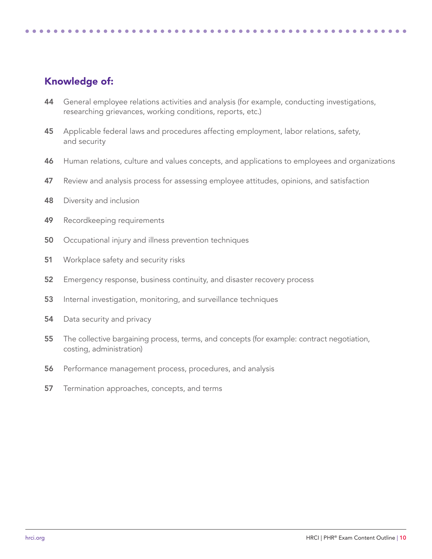- 44 General employee relations activities and analysis (for example, conducting investigations, researching grievances, working conditions, reports, etc.)
- 45 Applicable federal laws and procedures affecting employment, labor relations, safety, and security
- 46 Human relations, culture and values concepts, and applications to employees and organizations
- 47 Review and analysis process for assessing employee attitudes, opinions, and satisfaction
- 48 Diversity and inclusion
- 49 Recordkeeping requirements
- 50 Occupational injury and illness prevention techniques
- 51 Workplace safety and security risks
- 52 Emergency response, business continuity, and disaster recovery process
- 53 Internal investigation, monitoring, and surveillance techniques
- 54 Data security and privacy
- 55 The collective bargaining process, terms, and concepts (for example: contract negotiation, costing, administration)
- 56 Performance management process, procedures, and analysis
- 57 Termination approaches, concepts, and terms